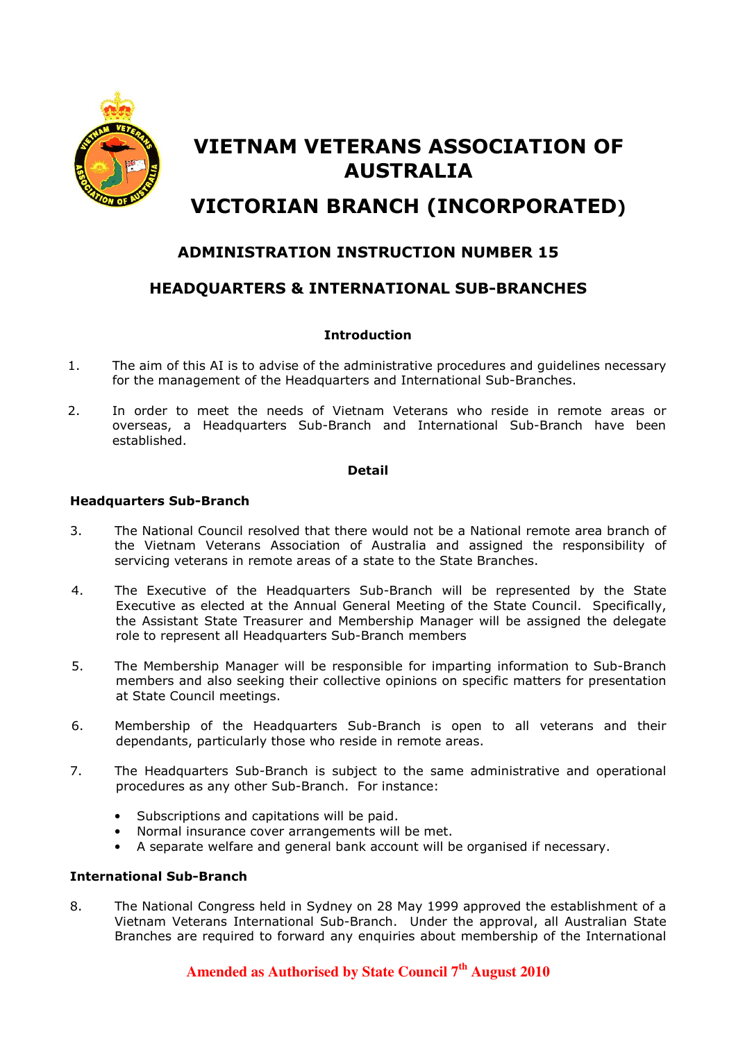

# VIETNAM VETERANS ASSOCIATION OF AUSTRALIA

# VICTORIAN BRANCH (INCORPORATED)

# ADMINISTRATION INSTRUCTION NUMBER 15

## HEADQUARTERS & INTERNATIONAL SUB-BRANCHES

#### **Introduction**

- 1. The aim of this AI is to advise of the administrative procedures and guidelines necessary for the management of the Headquarters and International Sub-Branches.
- 2. In order to meet the needs of Vietnam Veterans who reside in remote areas or overseas, a Headquarters Sub-Branch and International Sub-Branch have been established.

#### Detail

#### Headquarters Sub-Branch

- 3. The National Council resolved that there would not be a National remote area branch of the Vietnam Veterans Association of Australia and assigned the responsibility of servicing veterans in remote areas of a state to the State Branches.
- 4. The Executive of the Headquarters Sub-Branch will be represented by the State Executive as elected at the Annual General Meeting of the State Council. Specifically, the Assistant State Treasurer and Membership Manager will be assigned the delegate role to represent all Headquarters Sub-Branch members
- 5. The Membership Manager will be responsible for imparting information to Sub-Branch members and also seeking their collective opinions on specific matters for presentation at State Council meetings.
- 6. Membership of the Headquarters Sub-Branch is open to all veterans and their dependants, particularly those who reside in remote areas.
- 7. The Headquarters Sub-Branch is subject to the same administrative and operational procedures as any other Sub-Branch. For instance:
	- Subscriptions and capitations will be paid.
	- Normal insurance cover arrangements will be met.
	- A separate welfare and general bank account will be organised if necessary.

#### International Sub-Branch

8. The National Congress held in Sydney on 28 May 1999 approved the establishment of a Vietnam Veterans International Sub-Branch. Under the approval, all Australian State Branches are required to forward any enquiries about membership of the International

## **Amended as Authorised by State Council 7th August 2010**